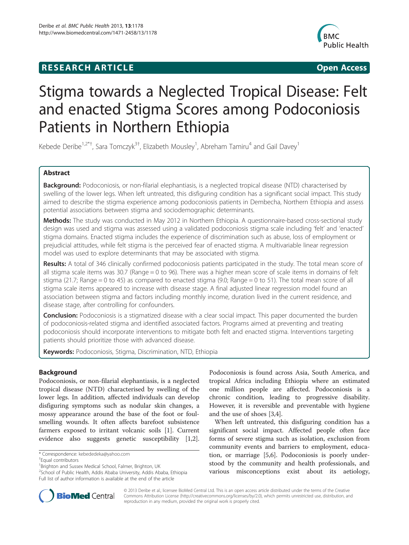## **RESEARCH ARTICLE Example 2018 12:00 Open Access**



# Stigma towards a Neglected Tropical Disease: Felt and enacted Stigma Scores among Podoconiosis Patients in Northern Ethiopia

Kebede Deribe<sup>1,2\*†</sup>, Sara Tomczyk<sup>3†</sup>, Elizabeth Mousley<sup>1</sup>, Abreham Tamiru<sup>4</sup> and Gail Davey<sup>1</sup>

## Abstract

Background: Podoconiosis, or non-filarial elephantiasis, is a neglected tropical disease (NTD) characterised by swelling of the lower legs. When left untreated, this disfiguring condition has a significant social impact. This study aimed to describe the stigma experience among podoconiosis patients in Dembecha, Northern Ethiopia and assess potential associations between stigma and sociodemographic determinants.

Methods: The study was conducted in May 2012 in Northern Ethiopia. A questionnaire-based cross-sectional study design was used and stigma was assessed using a validated podoconiosis stigma scale including 'felt' and 'enacted' stigma domains. Enacted stigma includes the experience of discrimination such as abuse, loss of employment or prejudicial attitudes, while felt stigma is the perceived fear of enacted stigma. A multivariable linear regression model was used to explore determinants that may be associated with stigma.

Results: A total of 346 clinically confirmed podoconiosis patients participated in the study. The total mean score of all stigma scale items was 30.7 (Range = 0 to 96). There was a higher mean score of scale items in domains of felt stigma (21.7; Range = 0 to 45) as compared to enacted stigma (9.0; Range = 0 to 51). The total mean score of all stigma scale items appeared to increase with disease stage. A final adjusted linear regression model found an association between stigma and factors including monthly income, duration lived in the current residence, and disease stage, after controlling for confounders.

Conclusion: Podoconiosis is a stigmatized disease with a clear social impact. This paper documented the burden of podoconiosis-related stigma and identified associated factors. Programs aimed at preventing and treating podoconiosis should incorporate interventions to mitigate both felt and enacted stigma. Interventions targeting patients should prioritize those with advanced disease.

Keywords: Podoconiosis, Stigma, Discrimination, NTD, Ethiopia

## **Background**

Podoconiosis, or non-filarial elephantiasis, is a neglected tropical disease (NTD) characterised by swelling of the lower legs. In addition, affected individuals can develop disfiguring symptoms such as nodular skin changes, a mossy appearance around the base of the foot or foulsmelling wounds. It often affects barefoot subsistence farmers exposed to irritant volcanic soils [[1\]](#page-6-0). Current evidence also suggests genetic susceptibility [\[1,2](#page-6-0)].

Podoconiosis is found across Asia, South America, and tropical Africa including Ethiopia where an estimated one million people are affected. Podoconiosis is a chronic condition, leading to progressive disability. However, it is reversible and preventable with hygiene and the use of shoes [\[3,4](#page-6-0)].

When left untreated, this disfiguring condition has a significant social impact. Affected people often face forms of severe stigma such as isolation, exclusion from community events and barriers to employment, education, or marriage [[5,6\]](#page-6-0). Podoconiosis is poorly understood by the community and health professionals, and various misconceptions exist about its aetiology,



© 2013 Deribe et al.; licensee BioMed Central Ltd. This is an open access article distributed under the terms of the Creative Commons Attribution License [\(http://creativecommons.org/licenses/by/2.0\)](http://creativecommons.org/licenses/by/2.0), which permits unrestricted use, distribution, and reproduction in any medium, provided the original work is properly cited.

<sup>\*</sup> Correspondence: [kebededeka@yahoo.com](mailto:kebededeka@yahoo.com) †

Equal contributors

<sup>&</sup>lt;sup>1</sup> Brighton and Sussex Medical School, Falmer, Brighton, UK

<sup>2</sup> School of Public Health, Addis Ababa University, Addis Ababa, Ethiopia Full list of author information is available at the end of the article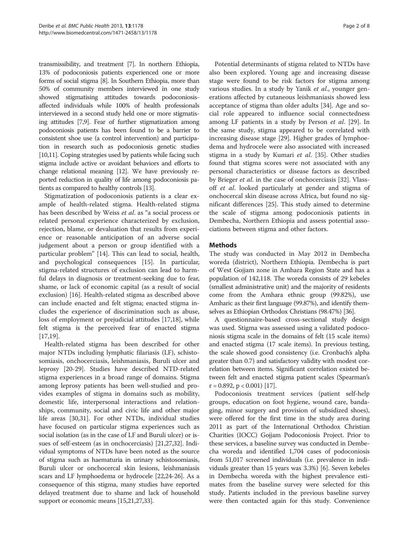transmissibility, and treatment [\[7\]](#page-6-0). In northern Ethiopia, 13% of podoconiosis patients experienced one or more forms of social stigma [\[8\]](#page-6-0). In Southern Ethiopia, more than 50% of community members interviewed in one study showed stigmatising attitudes towards podoconiosisaffected individuals while 100% of health professionals interviewed in a second study held one or more stigmatising attitudes [\[7,9\]](#page-6-0). Fear of further stigmatization among podoconiosis patients has been found to be a barrier to consistent shoe use (a control intervention) and participation in research such as podoconiosis genetic studies [[10,11\]](#page-6-0). Coping strategies used by patients while facing such stigma include active or avoidant behaviors and efforts to change relational meaning [[12](#page-6-0)]. We have previously reported reduction in quality of life among podoconiosis patients as compared to healthy controls [[13](#page-6-0)].

Stigmatization of podoconiosis patients is a clear example of health-related stigma. Health-related stigma has been described by Weiss et al. as "a social process or related personal experience characterized by exclusion, rejection, blame, or devaluation that results from experience or reasonable anticipation of an adverse social judgement about a person or group identified with a particular problem" [\[14](#page-6-0)]. This can lead to social, health, and psychological consequences [[15\]](#page-7-0). In particular, stigma-related structures of exclusion can lead to harmful delays in diagnosis or treatment-seeking due to fear, shame, or lack of economic capital (as a result of social exclusion) [\[16](#page-7-0)]. Health-related stigma as described above can include enacted and felt stigma; enacted stigma includes the experience of discrimination such as abuse, loss of employment or prejudicial attitudes [[17,18\]](#page-7-0), while felt stigma is the perceived fear of enacted stigma [[17,19\]](#page-7-0).

Health-related stigma has been described for other major NTDs including lymphatic filariasis (LF), schistosomiasis, onchocerciasis, leishmaniasis, Buruli ulcer and leprosy [[20-29\]](#page-7-0). Studies have described NTD-related stigma experiences in a broad range of domains. Stigma among leprosy patients has been well-studied and provides examples of stigma in domains such as mobility, domestic life, interpersonal interactions and relationships, community, social and civic life and other major life areas [\[30,31\]](#page-7-0). For other NTDs, individual studies have focused on particular stigma experiences such as social isolation (as in the case of LF and Buruli ulcer) or issues of self-esteem (as in onchocerciasis) [\[21,27,32](#page-7-0)]. Individual symptoms of NTDs have been noted as the source of stigma such as haematuria in urinary schistosomiasis, Buruli ulcer or onchocercal skin lesions, leishmaniasis scars and LF lymphoedema or hydrocele [\[22,24](#page-7-0)-[26](#page-7-0)]. As a consequence of this stigma, many studies have reported delayed treatment due to shame and lack of household support or economic means [\[15,21,27,33\]](#page-7-0).

Potential determinants of stigma related to NTDs have also been explored. Young age and increasing disease stage were found to be risk factors for stigma among various studies. In a study by Yanik et al., younger generations affected by cutaneous leishmaniasis showed less acceptance of stigma than older adults [\[34](#page-7-0)]. Age and social role appeared to influence social connectedness among LF patients in a study by Person et al. [\[29](#page-7-0)]. In the same study, stigma appeared to be correlated with increasing disease stage [[29](#page-7-0)]. Higher grades of lymphoedema and hydrocele were also associated with increased stigma in a study by Kumari et al. [\[35\]](#page-7-0). Other studies found that stigma scores were not associated with any personal characteristics or disease factors as described by Brieger *et al.* in the case of onchocerciasis [\[32](#page-7-0)]. Vlassoff et al. looked particularly at gender and stigma of onchocercal skin disease across Africa, but found no significant differences [\[25\]](#page-7-0). This study aimed to determine the scale of stigma among podoconiosis patients in Dembecha, Northern Ethiopia and assess potential associations between stigma and other factors.

## Methods

The study was conducted in May 2012 in Dembecha woreda (district), Northern Ethiopia. Dembecha is part of West Gojjam zone in Amhara Region State and has a population of 142,118. The woreda consists of 29 kebeles (smallest administrative unit) and the majority of residents come from the Amhara ethnic group (99.82%), use Amharic as their first language (99.87%), and identify themselves as Ethiopian Orthodox Christians (98.47%) [\[36\]](#page-7-0).

A questionnaire-based cross-sectional study design was used. Stigma was assessed using a validated podoconiosis stigma scale in the domains of felt (15 scale items) and enacted stigma (17 scale items). In previous testing, the scale showed good consistency (i.e. Cronbach's alpha greater than 0.7) and satisfactory validity with modest correlation between items. Significant correlation existed between felt and enacted stigma patient scales (Spearman's  $r = 0.892$ ,  $p < 0.001$  [\[17\]](#page-7-0).

Podoconiosis treatment services (patient self-help groups, education on foot hygiene, wound care, bandaging, minor surgery and provision of subsidized shoes), were offered for the first time in the study area during 2011 as part of the International Orthodox Christian Charities (IOCC) Gojjam Podoconiosis Project. Prior to these services, a baseline survey was conducted in Dembecha woreda and identified 1,704 cases of podoconiosis from 51,017 screened individuals (i.e. prevalence in individuals greater than 15 years was 3.3%) [[6\]](#page-6-0). Seven kebeles in Dembecha woreda with the highest prevalence estimates from the baseline survey were selected for this study. Patients included in the previous baseline survey were then contacted again for this study. Convenience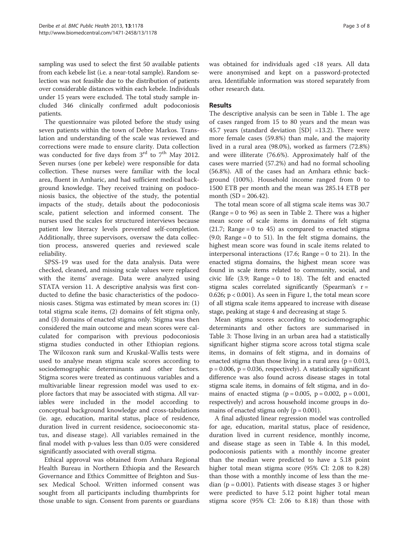sampling was used to select the first 50 available patients from each kebele list (i.e. a near-total sample). Random selection was not feasible due to the distribution of patients over considerable distances within each kebele. Individuals under 15 years were excluded. The total study sample included 346 clinically confirmed adult podoconiosis patients.

The questionnaire was piloted before the study using seven patients within the town of Debre Markos. Translation and understanding of the scale was reviewed and corrections were made to ensure clarity. Data collection was conducted for five days from 3<sup>rd</sup> to 7<sup>th</sup> May 2012. Seven nurses (one per kebele) were responsible for data collection. These nurses were familiar with the local area, fluent in Amharic, and had sufficient medical background knowledge. They received training on podoconiosis basics, the objective of the study, the potential impacts of the study, details about the podoconiosis scale, patient selection and informed consent. The nurses used the scales for structured interviews because patient low literacy levels prevented self-completion. Additionally, three supervisors, oversaw the data collection process, answered queries and reviewed scale reliability.

SPSS-19 was used for the data analysis. Data were checked, cleaned, and missing scale values were replaced with the items' average. Data were analyzed using STATA version 11. A descriptive analysis was first conducted to define the basic characteristics of the podoconiosis cases. Stigma was estimated by mean scores in: (1) total stigma scale items, (2) domains of felt stigma only, and (3) domains of enacted stigma only. Stigma was then considered the main outcome and mean scores were calculated for comparison with previous podoconiosis stigma studies conducted in other Ethiopian regions. The Wilcoxon rank sum and Kruskal-Wallis tests were used to analyse mean stigma scale scores according to sociodemographic determinants and other factors. Stigma scores were treated as continuous variables and a multivariable linear regression model was used to explore factors that may be associated with stigma. All variables were included in the model according to conceptual background knowledge and cross-tabulations (ie. age, education, marital status, place of residence, duration lived in current residence, socioeconomic status, and disease stage). All variables remained in the final model with p-values less than 0.05 were considered significantly associated with overall stigma.

Ethical approval was obtained from Amhara Regional Health Bureau in Northern Ethiopia and the Research Governance and Ethics Committee of Brighton and Sussex Medical School. Written informed consent was sought from all participants including thumbprints for those unable to sign. Consent from parents or guardians was obtained for individuals aged <18 years. All data were anonymised and kept on a password-protected area. Identifiable information was stored separately from other research data.

### Results

The descriptive analysis can be seen in Table [1.](#page-3-0) The age of cases ranged from 15 to 80 years and the mean was 45.7 years (standard deviation [SD] =13.2). There were more female cases (59.8%) than male, and the majority lived in a rural area (98.0%), worked as farmers (72.8%) and were illiterate (76.6%). Approximately half of the cases were married (57.2%) and had no formal schooling (56.8%). All of the cases had an Amhara ethnic background (100%). Household income ranged from 0 to 1500 ETB per month and the mean was 285.14 ETB per month (SD = 206.42).

The total mean score of all stigma scale items was 30.7 (Range = 0 to 96) as seen in Table [2](#page-3-0). There was a higher mean score of scale items in domains of felt stigma  $(21.7;$  Range = 0 to 45) as compared to enacted stigma  $(9.0; \text{ Range} = 0 \text{ to } 51)$ . In the felt stigma domains, the highest mean score was found in scale items related to interpersonal interactions (17.6; Range = 0 to 21). In the enacted stigma domains, the highest mean score was found in scale items related to community, social, and civic life  $(3.9;$  Range = 0 to 18). The felt and enacted stigma scales correlated significantly (Spearman's  $r=$ 0.626; p < 0.001). As seen in Figure [1,](#page-4-0) the total mean score of all stigma scale items appeared to increase with disease stage, peaking at stage 4 and decreasing at stage 5.

Mean stigma scores according to sociodemographic determinants and other factors are summarised in Table [3](#page-5-0): Those living in an urban area had a statistically significant higher stigma score across total stigma scale items, in domains of felt stigma, and in domains of enacted stigma than those living in a rural area ( $p = 0.013$ ,  $p = 0.006$ ,  $p = 0.036$ , respectively). A statistically significant difference was also found across disease stages in total stigma scale items, in domains of felt stigma, and in domains of enacted stigma ( $p = 0.005$ ,  $p = 0.002$ ,  $p = 0.001$ , respectively) and across household income groups in domains of enacted stigma only ( $p = 0.001$ ).

A final adjusted linear regression model was controlled for age, education, marital status, place of residence, duration lived in current residence, monthly income, and disease stage as seen in Table [4.](#page-5-0) In this model, podoconiosis patients with a monthly income greater than the median were predicted to have a 5.18 point higher total mean stigma score (95% CI: 2.08 to 8.28) than those with a monthly income of less than the median ( $p = 0.001$ ). Patients with disease stages 3 or higher were predicted to have 5.12 point higher total mean stigma score (95% CI: 2.06 to 8.18) than those with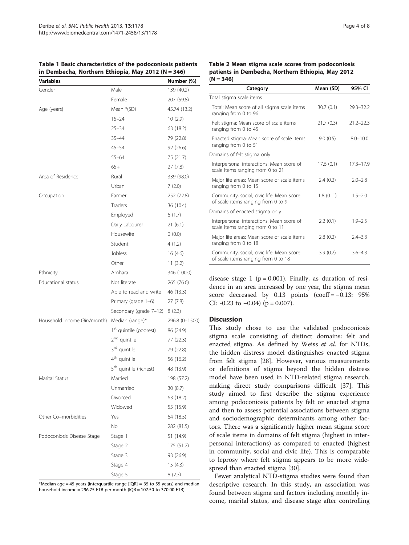#### <span id="page-3-0"></span>Table 1 Basic characteristics of the podoconiosis patients in Dembecha, Northern Ethiopia, May 2012 (N =  $346$ )

| Variables                     |                                    | Number (%)     |
|-------------------------------|------------------------------------|----------------|
| Gender                        | Male                               | 139 (40.2)     |
|                               | Female                             | 207 (59.8)     |
| Age (years)                   | Mean *(SD)                         | 45.74 (13.2)   |
|                               | $15 - 24$                          | 10(2.9)        |
|                               | $25 - 34$                          | 63 (18.2)      |
|                               | $35 - 44$                          | 79 (22.8)      |
|                               | $45 - 54$                          | 92 (26.6)      |
|                               | $55 - 64$                          | 75 (21.7)      |
|                               | $65+$                              | 27(7.8)        |
| Area of Residence             | Rural                              | 339 (98.0)     |
|                               | Urban                              | 7(2.0)         |
| Occupation                    | Farmer                             | 252 (72.8)     |
|                               | Traders                            | 36 (10.4)      |
|                               | Employed                           | 6(1.7)         |
|                               | Daily Labourer                     | 21(6.1)        |
|                               | Housewife                          | 0(0.0)         |
|                               | Student                            | 4(1.2)         |
|                               | Jobless                            | 16(4.6)        |
|                               | Other                              | 11(3.2)        |
| Ethnicity                     | Amhara                             | 346 (100.0)    |
| Educational status            | Not literate                       | 265 (76.6)     |
|                               | Able to read and write             | 46 (13.3)      |
|                               | Primary (grade 1-6)                | 27(7.8)        |
|                               | Secondary (grade 7-12)             | 8(2.3)         |
| Household Income (Birr/month) | Median (range)*                    | 296.8 (0-1500) |
|                               | 1 <sup>st</sup> quintile (poorest) | 86 (24.9)      |
|                               | 2 <sup>nd</sup> quintile           | 77 (22.3)      |
|                               | 3 <sup>rd</sup> quintile           | 79 (22.8)      |
|                               | 4 <sup>th</sup> quintile           | 56 (16.2)      |
|                               | 5 <sup>th</sup> quintile (richest) | 48 (13.9)      |
| Marital Status                | Married                            | 198 (57.2)     |
|                               | Unmarried                          | 30 (8.7)       |
|                               | Divorced                           | 63 (18.2)      |
|                               | Widowed                            | 55 (15.9)      |
| Other Co-morbidities          | Yes                                | 64 (18.5)      |
|                               | No                                 | 282 (81.5)     |
| Podoconiosis Disease Stage    | Stage 1                            | 51 (14.9)      |
|                               | Stage 2                            | 175 (51.2)     |
|                               | Stage 3                            | 93 (26.9)      |
|                               | Stage 4                            | 15(4.3)        |
|                               | Stage 5                            | 8(2.3)         |

\*Median age = 45 years (interguartile range  $IQR$  = 35 to 55 years) and median household income = 296.75 ETB per month (IQR = 107.50 to 370.00 ETB).

## Table 2 Mean stigma scale scores from podoconiosis patients in Dembecha, Northern Ethiopia, May 2012  $(N = 346)$

| Category                                                                         | Mean (SD) | 95% CI        |
|----------------------------------------------------------------------------------|-----------|---------------|
| Total stigma scale items                                                         |           |               |
| Total: Mean score of all stigma scale items<br>ranging from 0 to 96              | 30.7(0.1) | $29.3 - 32.2$ |
| Felt stigma: Mean score of scale items<br>ranging from 0 to 45                   | 21.7(0.3) | $21.2 - 22.3$ |
| Enacted stigma: Mean score of scale items<br>ranging from 0 to 51                | 9.0(0.5)  | $8.0 - 10.0$  |
| Domains of felt stigma only                                                      |           |               |
| Interpersonal interactions: Mean score of<br>scale items ranging from 0 to 21    | 17.6(0.1) | $17.3 - 17.9$ |
| Major life areas: Mean score of scale items<br>ranging from 0 to 15              | 2.4(0.2)  | $2.0 - 2.8$   |
| Community, social, civic life: Mean score<br>of scale items ranging from 0 to 9  | 1.8(0.1)  | $1.5 - 2.0$   |
| Domains of enacted stigma only                                                   |           |               |
| Interpersonal interactions: Mean score of<br>scale items ranging from 0 to 11    | 2.2(0.1)  | $1.9 - 2.5$   |
| Major life areas: Mean score of scale items<br>ranging from 0 to 18              | 2.8(0.2)  | $2.4 - 3.3$   |
| Community, social, civic life: Mean score<br>of scale items ranging from 0 to 18 | 3.9(0.2)  | $3.6 - 4.3$   |

disease stage 1 ( $p = 0.001$ ). Finally, as duration of residence in an area increased by one year, the stigma mean score decreased by 0.13 points (coeff = −0.13: 95% CI:  $-0.23$  to  $-0.04$ ) (p = 0.007).

## **Discussion**

This study chose to use the validated podoconiosis stigma scale consisting of distinct domains: felt and enacted stigma. As defined by Weiss et al. for NTDs, the hidden distress model distinguishes enacted stigma from felt stigma [\[28\]](#page-7-0). However, various measurements or definitions of stigma beyond the hidden distress model have been used in NTD-related stigma research, making direct study comparisons difficult [[37\]](#page-7-0). This study aimed to first describe the stigma experience among podoconiosis patients by felt or enacted stigma and then to assess potential associations between stigma and sociodemographic determinants among other factors. There was a significantly higher mean stigma score of scale items in domains of felt stigma (highest in interpersonal interactions) as compared to enacted (highest in community, social and civic life). This is comparable to leprosy where felt stigma appears to be more widespread than enacted stigma [[30\]](#page-7-0).

Fewer analytical NTD-stigma studies were found than descriptive research. In this study, an association was found between stigma and factors including monthly income, marital status, and disease stage after controlling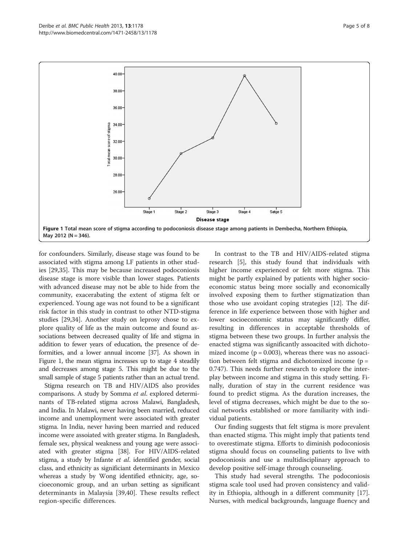<span id="page-4-0"></span>

for confounders. Similarly, disease stage was found to be associated with stigma among LF patients in other studies [\[29,35\]](#page-7-0). This may be because increased podoconiosis disease stage is more visible than lower stages. Patients with advanced disease may not be able to hide from the community, exacerabating the extent of stigma felt or experienced. Young age was not found to be a significant risk factor in this study in contrast to other NTD-stigma studies [[29,34](#page-7-0)]. Another study on leprosy chose to explore quality of life as the main outcome and found associations between decreased quality of life and stigma in addition to fewer years of education, the presence of deformities, and a lower annual income [\[37](#page-7-0)]. As shown in Figure 1, the mean stigma increases up to stage 4 steadily and decreases among stage 5. This might be due to the small sample of stage 5 patients rather than an actual trend.

Stigma research on TB and HIV/AIDS also provides comparisons. A study by Somma et al. explored determinants of TB-related stigma across Malawi, Bangladesh, and India. In Malawi, never having been married, reduced income and unemployment were associated with greater stigma. In India, never having been married and reduced income were assoiated with greater stigma. In Bangladesh, female sex, physical weakness and young age were associated with greater stigma [\[38\]](#page-7-0). For HIV/AIDS-related stigma, a study by Infante et al. identified gender, social class, and ethnicity as significiant determinants in Mexico whereas a study by Wong identified ethnicity, age, socioeconomic group, and an urban setting as significant determinants in Malaysia [[39,40](#page-7-0)]. These results reflect region-specific differences.

In contrast to the TB and HIV/AIDS-related stigma research [[5\]](#page-6-0), this study found that individuals with higher income experienced or felt more stigma. This might be partly explained by patients with higher socioeconomic status being more socially and economically involved exposing them to further stigmatization than those who use avoidant coping strategies [[12\]](#page-6-0). The difference in life experience between those with higher and lower socioeconomic status may significantly differ, resulting in differences in acceptable thresholds of stigma between these two groups. In further analysis the enacted stigma was significantly assoacited with dichotomized income  $(p = 0.003)$ , whereas there was no assoacition between felt stigma and dichotomized income (p = 0.747). This needs further research to explore the interplay between income and stigma in this study setting. Finally, duration of stay in the current residence was found to predict stigma. As the duration increases, the level of stigma decreases, which might be due to the social networks established or more familiarity with individual patients.

Our finding suggests that felt stigma is more prevalent than enacted stigma. This might imply that patients tend to overestimate stigma. Efforts to diminish podoconiosis stigma should focus on counseling patients to live with podoconiosis and use a multidisciplinary approach to develop positive self-image through counseling.

This study had several strengths. The podoconiosis stigma scale tool used had proven consistency and validity in Ethiopia, although in a different community [\[17](#page-7-0)]. Nurses, with medical backgrounds, language fluency and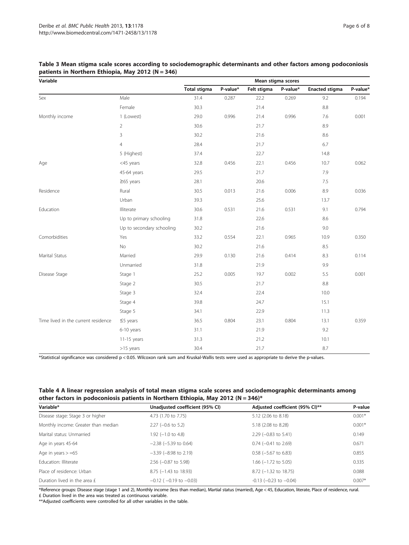| Variable                            |                           | Mean stigma scores  |          |             |          |                       |          |
|-------------------------------------|---------------------------|---------------------|----------|-------------|----------|-----------------------|----------|
|                                     |                           | <b>Total stigma</b> | P-value* | Felt stigma | P-value* | <b>Enacted stigma</b> | P-value* |
| Sex                                 | Male                      | 31.4                | 0.287    | 22.2        | 0.269    | 9.2                   | 0.194    |
|                                     | Female                    | 30.3                |          | 21.4        |          | 8.8                   |          |
| Monthly income                      | 1 (Lowest)                | 29.0                | 0.996    | 21.4        | 0.996    | 7.6                   | 0.001    |
|                                     | $\overline{2}$            | 30.6                |          | 21.7        |          | 8.9                   |          |
|                                     | 3                         | 30.2                |          | 21.6        |          | 8.6                   |          |
|                                     | $\overline{4}$            | 28.4                |          | 21.7        |          | 6.7                   |          |
|                                     | 5 (Highest)               | 37.4                |          | 22.7        |          | 14.8                  |          |
| Age                                 | <45 years                 | 32.8                | 0.456    | 22.1        | 0.456    | 10.7                  | 0.062    |
|                                     | 45-64 years               | 29.5                |          | 21.7        |          | 7.9                   |          |
|                                     | $\geq$ 65 years           | 28.1                |          | 20.6        |          | 7.5                   |          |
| Residence                           | Rural                     | 30.5                | 0.013    | 21.6        | 0.006    | 8.9                   | 0.036    |
|                                     | Urban                     | 39.3                |          | 25.6        |          | 13.7                  |          |
| Education                           | Illiterate                | 30.6                | 0.531    | 21.6        | 0.531    | 9.1                   | 0.794    |
|                                     | Up to primary schooling   | 31.8                |          | 22.6        |          | 8.6                   |          |
|                                     | Up to secondary schooling | 30.2                |          | 21.6        |          | 9.0                   |          |
| Comorbidities                       | Yes                       | 33.2                | 0.554    | 22.1        | 0.965    | 10.9                  | 0.350    |
|                                     | No                        | 30.2                |          | 21.6        |          | 8.5                   |          |
| Marital Status                      | Married                   | 29.9                | 0.130    | 21.6        | 0.414    | 8.3                   | 0.114    |
|                                     | Unmarried                 | 31.8                |          | 21.9        |          | 9.9                   |          |
| Disease Stage                       | Stage 1                   | 25.2                | 0.005    | 19.7        | 0.002    | 5.5                   | 0.001    |
|                                     | Stage 2                   | 30.5                |          | 21.7        |          | 8.8                   |          |
|                                     | Stage 3                   | 32.4                |          | 22.4        |          | 10.0                  |          |
|                                     | Stage 4                   | 39.8                |          | 24.7        |          | 15.1                  |          |
|                                     | Stage 5                   | 34.1                |          | 22.9        |          | 11.3                  |          |
| Time lived in the current residence | $\leq$ 5 years            | 36.5                | 0.804    | 23.1        | 0.804    | 13.1                  | 0.359    |
|                                     | 6-10 years                | 31.1                |          | 21.9        |          | 9.2                   |          |
|                                     | $11-15$ years             | 31.3                |          | 21.2        |          | 10.1                  |          |
|                                     | >15 years                 | 30.4                |          | 21.7        |          | 8.7                   |          |

### <span id="page-5-0"></span>Table 3 Mean stigma scale scores according to sociodemographic determinants and other factors among podoconiosis patients in Northern Ethiopia, May 2012 (N = 346)

\*Statistical significance was considered p < 0.05. Wilcoxon rank sum and Kruskal-Wallis tests were used as appropriate to derive the p-values.

## Table 4 A linear regression analysis of total mean stigma scale scores and sociodemographic determinants among other factors in podoconiosis patients in Northern Ethiopia, May 2012 (N = 346)\*

| Variable*                           | Unadjusted coefficient (95% CI) | Adjusted coefficient (95% CI)** | P-value  |
|-------------------------------------|---------------------------------|---------------------------------|----------|
| Disease stage: Stage 3 or higher    | 4.73 (1.70 to 7.75)             | 5.12 (2.06 to 8.18)             | $0.001*$ |
| Monthly income: Greater than median | $2.27$ (-0.6 to 5.2)            | 5.18 (2.08 to 8.28)             | $0.001*$ |
| Marital status: Unmarried           | $1.92$ (-1.0 to 4.8)            | $2.29$ (-0.83 to 5.41)          | 0.149    |
| Age in years 45-64                  | $-2.38$ ( $-5.39$ to 0.64)      | $0.74$ (-0.41 to 2.69)          | 0.671    |
| Age in years $> = 65$               | $-3.39$ ( $-8.98$ to 2.19)      | $0.58$ (-5.67 to 6.83)          | 0.855    |
| Education: Illiterate               | $2.56$ (-0.87 to 5.98)          | 1.66 (-1.72 to 5.05)            | 0.335    |
| Place of residence: Urban           | $8.75$ (-1.43 to 18.93)         | $8.72$ (-1.32 to 18.75)         | 0.088    |
| Duration lived in the area £        | $-0.12$ ( $-0.19$ to $-0.03$ )  | $-0.13$ ( $-0.23$ to $-0.04$ )  | $0.007*$ |

\*Reference groups: Disease stage (stage 1 and 2), Monthly income (less than median), Martial status (married), Age < 45, Education, literate, Place of residence, rural. £ Duration lived in the area was treated as continuous variable.

\*\*Adjusted coefficients were controlled for all other variables in the table.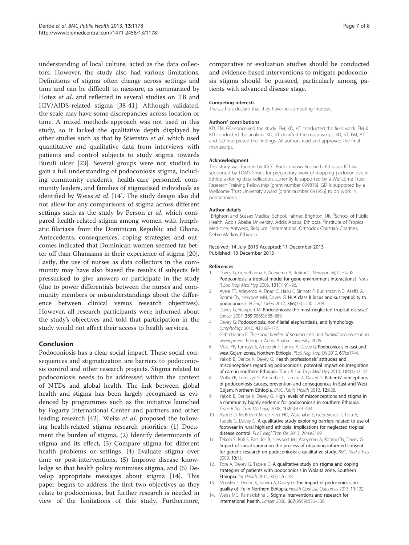<span id="page-6-0"></span>understanding of local culture, acted as the data collectors. However, the study also had various limitations. Definitions of stigma often change across settings and time and can be difficult to measure, as summarized by Hotez et al. and reflected in several studies on TB and HIV/AIDS-related stigma [[38](#page-7-0)-[41\]](#page-7-0). Although validated, the scale may have some discrepancies across location or time. A mixed methods approach was not used in this study, so it lacked the qualitative depth displayed by other studies such as that by Stienstra et al. which used quantitative and qualitative data from interviews with patients and control subjects to study stigma towards Buruli ulcer [[23\]](#page-7-0). Several groups were not studied to gain a full understanding of podoconiosis stigma, including community residents, health-care personnel, community leaders, and families of stigmatised individuals as identified by Weiss et al. [14]. The study design also did not allow for any comparisons of stigma across different settings such as the study by Person et al. which compared health-related stigma among women with lymphatic filariasis from the Dominican Republic and Ghana. Antecedents, consequences, coping strategies and outcomes indicated that Dominican women seemed far better off than Ghanaians in their experience of stigma [\[20](#page-7-0)]. Lastly, the use of nurses as data collectors in the community may have also biased the results if subjects felt pressurised to give answers or participate in the study (due to power differentials between the nurses and community members or misunderstandings about the difference between clinical versus research objectives). However, all research participants were informed about the study's objectives and told that participation in the study would not affect their access to health services.

#### Conclusion

Podoconiosis has a clear social impact. These social consequences and stigmatization are barriers to podoconiosis control and other research projects. Stigma related to podoconiosis needs to be addressed within the context of NTDs and global health. The link between global health and stigma has been largely recognized as evidenced by programmes such as the initiative launched by Fogarty International Center and partners and other leading research [[42\]](#page-7-0). Weiss *et al*. proposed the following health-related stigma research priorities: (1) Document the burden of stigma, (2) Identify determinants of stigma and its effect, (3) Compare stigma for different health problems or settings, (4) Evaluate stigma over time or post-interventions, (5) Improve disease knowledge so that health policy minimises stigma, and (6) Develop appropriate messages about stigma [14]. This paper begins to address the first two objectives as they relate to podoconiosis, but further research is needed in view of the limitations of this study. Furthermore, comparative or evaluation studies should be conducted and evidence-based interventions to mitigate podoconiosis stigma should be pursued, particularly among patients with advanced disease stage.

#### Competing interests

The authors declare that they have no competing interests.

#### Authors' contributions

KD, EM, GD conceived the study. EM, KD, AT conducted the field work. EM & KD conducted the analysis. KD, ST derafted the masnuscript. KD, ST, EM, AT and GD interpreted the findings. All authors read and approved the final manuscript.

#### Acknowledgment

This study was funded by IOCC Podoconiosis Research; Ethiopia. KD was supported by TOMS Shoes for preparatory work of mapping podoconiosis in Ethiopia during data collection, currently is supported by a Wellcome Trust Research Training Fellowship [grant number 099876]. GD is supported by a Wellcome Trust University award [grant number 091956] to do work in podoconiosis.

#### Author details

<sup>1</sup>Brighton and Sussex Medical School, Falmer, Brighton, UK. <sup>2</sup>School of Public Health, Addis Ababa University, Addis Ababa, Ethiopia. <sup>3</sup>Institute of Tropical Medicine, Antwerp, Belgium. <sup>4</sup>International Orthodox Christian Charities, Debre Markos, Ethiopia.

#### Received: 14 July 2013 Accepted: 11 December 2013 Published: 13 December 2013

#### References

- 1. Davey G, Gebrehanna E, Adeyemo A, Rotimi C, Newport M, Desta K: Podoconiosis: a tropical model for gene-environment interactions? Trans R Soc Trop Med Hyg 2006, 101(1):91–96.
- 2. Ayele FT, Adeyemo A, Finan C, Hailu E, Sinnott P, Burlisnson ND, Aseffa A, Rotimi CN, Newport MN, Davey G: HLA class II locus and susceptibility to podoconiosis. N Engl J Med 2012, 366(13):1200–1208.
- 3. Davey G, Newport M: Podoconiosis: the most neglected tropical disease? Lancet 2007, 369(9565):888–889.
- 4. Davey G: Podoconiosis, non-filarial elephantiasis, and lymphology. Lymphology 2010, 43:168–177.
- 5. GebreHanna E: The social burden of podoocniosis and familial occurence in its development. Ethiopia: Addis Ababa University; 2005.
- 6. Molla YB, Tomczyk S, Amberbir T, Tamiru A, Davey G: Podoconiosis in east and west Gojam zones, Northern Ethiopia. PLoS Negl Trop Dis 2012, 6(7):e1744.
- 7. Yakob B, Deribe K, Davey G: Health professionals' attitudes and misconceptions regarding podoconiosis: potential impact on integration of care in southern Ethiopia. Trans R Soc Trop Med Hyg 2010, 104(1):42–47.
- 8. Molla YB, Tomczyk S, Amberbir T, Tamiru A, Davey G: Patients' perceptions of podoconiosis causes, prevention and consequences in East and West Gojam, Northern Ethiopia. BMC Public Health 2012, 12:828.
- 9. Yakob B, Deribe K, Davey G: High levels of misconceptions and stigma in a community highly endemic for podoconiosis in southern Ethiopia. Trans R Soc Trop Med Hyg 2008, 102(5):439–444.
- 10. Ayode D, McBride CM, de Heer HD, Watanabe E, Gebreyesus T, Tora A, Tadele G, Davey G: A qualitative study exploring barriers related to use of footwear in rural highland ethiopia: implications for neglected tropical disease control. PLoS Negl Trop Dis 2013, 7(4):e2199.
- 11. Tekola F, Bull S, Farsides B, Newport MJ, Adeyemo A, Rotimi CN, Davey G: Impact of social stigma on the process of obtaining informed consent for genetic research on podoconiosis: a qualitative study. BMC Med Ethics 2009, 10:13.
- 12. Tora A, Davey G, Tadele G: A qualitative study on stigma and coping strategies of patients with podoconiosis in Wolaita zone, Southern Ethiopia. Int Health 2011, 3(3):176–181.
- 13. Mousley E, Deribe K, Tamiru A, Davey G: The impact of podoconiosis on quality of life in Northern Ethiopia. Health Qual Life Outcomes 2013, 11(122).
- 14. Weiss MG, Ramakrishna J: Stigma interventions and research for international health. Lancet 2006, 367(9509):536–538.